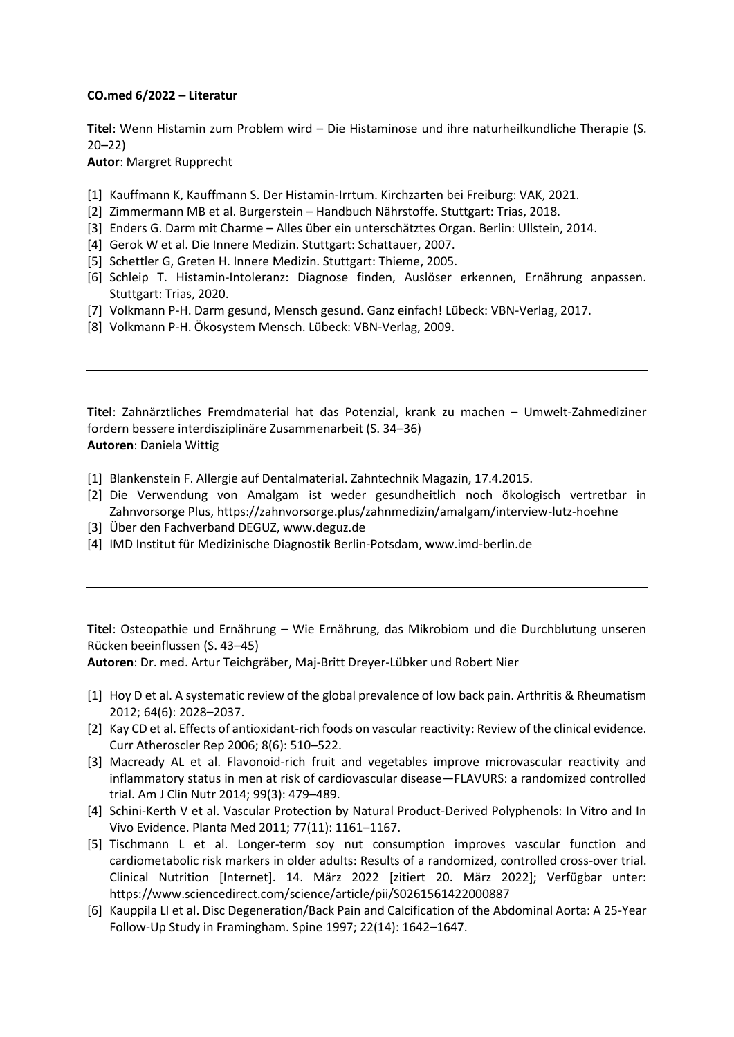## **CO.med 6/2022 – Literatur**

**Titel**: Wenn Histamin zum Problem wird – Die Histaminose und ihre naturheilkundliche Therapie (S. 20–22)

**Autor**: Margret Rupprecht

- [1] Kauffmann K, Kauffmann S. Der Histamin-Irrtum. Kirchzarten bei Freiburg: VAK, 2021.
- [2] Zimmermann MB et al. Burgerstein Handbuch Nährstoffe. Stuttgart: Trias, 2018.
- [3] Enders G. Darm mit Charme Alles über ein unterschätztes Organ. Berlin: Ullstein, 2014.
- [4] Gerok W et al. Die Innere Medizin. Stuttgart: Schattauer, 2007.
- [5] Schettler G, Greten H. Innere Medizin. Stuttgart: Thieme, 2005.
- [6] Schleip T. Histamin-Intoleranz: Diagnose finden, Auslöser erkennen, Ernährung anpassen. Stuttgart: Trias, 2020.
- [7] Volkmann P-H. Darm gesund, Mensch gesund. Ganz einfach! Lübeck: VBN-Verlag, 2017.
- [8] Volkmann P-H. Ökosystem Mensch. Lübeck: VBN-Verlag, 2009.

**Titel**: Zahnärztliches Fremdmaterial hat das Potenzial, krank zu machen – Umwelt-Zahmediziner fordern bessere interdisziplinäre Zusammenarbeit (S. 34–36) **Autoren**: Daniela Wittig

- [1] Blankenstein F. Allergie auf Dentalmaterial. Zahntechnik Magazin, 17.4.2015.
- [2] Die Verwendung von Amalgam ist weder gesundheitlich noch ökologisch vertretbar in Zahnvorsorge Plus, https://zahnvorsorge.plus/zahnmedizin/amalgam/interview-lutz-hoehne
- [3] Über den Fachverband DEGUZ, www.deguz.de
- [4] IMD Institut für Medizinische Diagnostik Berlin-Potsdam, www.imd-berlin.de

**Titel**: Osteopathie und Ernährung – Wie Ernährung, das Mikrobiom und die Durchblutung unseren Rücken beeinflussen (S. 43–45)

**Autoren**: Dr. med. Artur Teichgräber, Maj-Britt Dreyer-Lübker und Robert Nier

- [1] Hoy D et al. A systematic review of the global prevalence of low back pain. Arthritis & Rheumatism 2012; 64(6): 2028–2037.
- [2] Kay CD et al. Effects of antioxidant-rich foods on vascular reactivity: Review of the clinical evidence. Curr Atheroscler Rep 2006; 8(6): 510–522.
- [3] Macready AL et al. Flavonoid-rich fruit and vegetables improve microvascular reactivity and inflammatory status in men at risk of cardiovascular disease—FLAVURS: a randomized controlled trial. Am J Clin Nutr 2014; 99(3): 479–489.
- [4] Schini-Kerth V et al. Vascular Protection by Natural Product-Derived Polyphenols: In Vitro and In Vivo Evidence. Planta Med 2011; 77(11): 1161–1167.
- [5] Tischmann L et al. Longer-term soy nut consumption improves vascular function and cardiometabolic risk markers in older adults: Results of a randomized, controlled cross-over trial. Clinical Nutrition [Internet]. 14. März 2022 [zitiert 20. März 2022]; Verfügbar unter: https://www.sciencedirect.com/science/article/pii/S0261561422000887
- [6] Kauppila LI et al. Disc Degeneration/Back Pain and Calcification of the Abdominal Aorta: A 25-Year Follow-Up Study in Framingham. Spine 1997; 22(14): 1642–1647.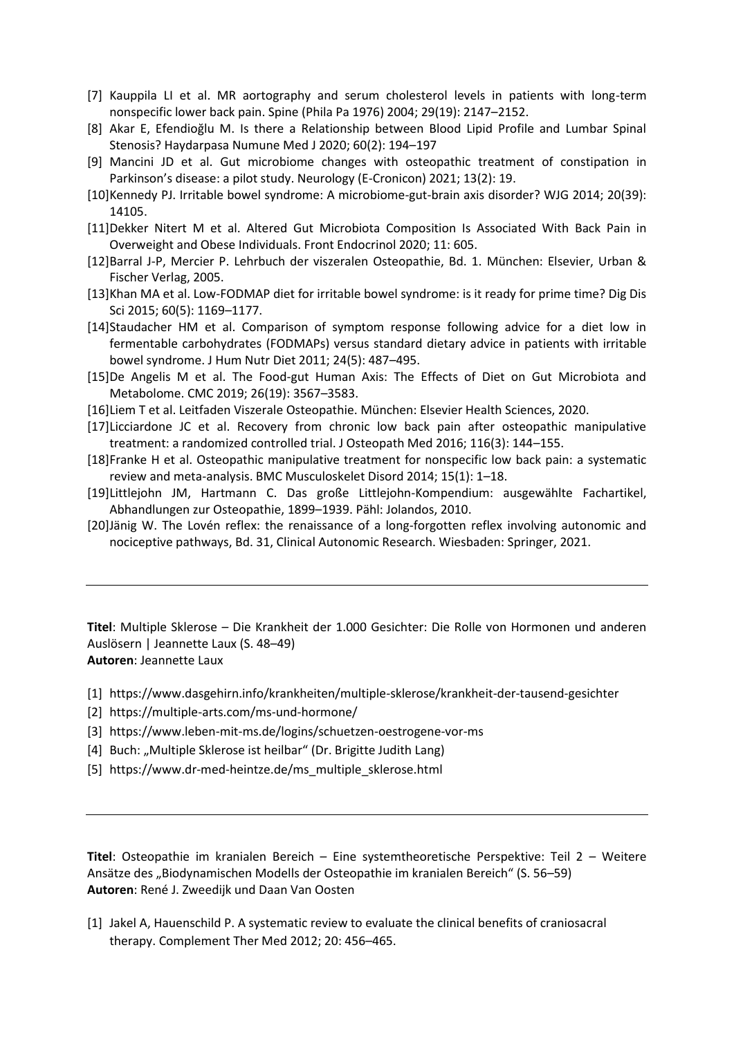- [7] Kauppila LI et al. MR aortography and serum cholesterol levels in patients with long-term nonspecific lower back pain. Spine (Phila Pa 1976) 2004; 29(19): 2147–2152.
- [8] Akar E, Efendioğlu M. Is there a Relationship between Blood Lipid Profile and Lumbar Spinal Stenosis? Haydarpasa Numune Med J 2020; 60(2): 194–197
- [9] Mancini JD et al. Gut microbiome changes with osteopathic treatment of constipation in Parkinson's disease: a pilot study. Neurology (E-Cronicon) 2021; 13(2): 19.
- [10]Kennedy PJ. Irritable bowel syndrome: A microbiome-gut-brain axis disorder? WJG 2014; 20(39): 14105.
- [11]Dekker Nitert M et al. Altered Gut Microbiota Composition Is Associated With Back Pain in Overweight and Obese Individuals. Front Endocrinol 2020; 11: 605.
- [12]Barral J-P, Mercier P. Lehrbuch der viszeralen Osteopathie, Bd. 1. München: Elsevier, Urban & Fischer Verlag, 2005.
- [13]Khan MA et al. Low-FODMAP diet for irritable bowel syndrome: is it ready for prime time? Dig Dis Sci 2015; 60(5): 1169–1177.
- [14]Staudacher HM et al. Comparison of symptom response following advice for a diet low in fermentable carbohydrates (FODMAPs) versus standard dietary advice in patients with irritable bowel syndrome. J Hum Nutr Diet 2011; 24(5): 487–495.
- [15]De Angelis M et al. The Food-gut Human Axis: The Effects of Diet on Gut Microbiota and Metabolome. CMC 2019; 26(19): 3567–3583.
- [16]Liem T et al. Leitfaden Viszerale Osteopathie. München: Elsevier Health Sciences, 2020.
- [17]Licciardone JC et al. Recovery from chronic low back pain after osteopathic manipulative treatment: a randomized controlled trial. J Osteopath Med 2016; 116(3): 144–155.
- [18]Franke H et al. Osteopathic manipulative treatment for nonspecific low back pain: a systematic review and meta-analysis. BMC Musculoskelet Disord 2014; 15(1): 1–18.
- [19]Littlejohn JM, Hartmann C. Das große Littlejohn-Kompendium: ausgewählte Fachartikel, Abhandlungen zur Osteopathie, 1899–1939. Pähl: Jolandos, 2010.
- [20]Jänig W. The Lovén reflex: the renaissance of a long-forgotten reflex involving autonomic and nociceptive pathways, Bd. 31, Clinical Autonomic Research. Wiesbaden: Springer, 2021.

**Titel**: Multiple Sklerose – Die Krankheit der 1.000 Gesichter: Die Rolle von Hormonen und anderen Auslösern | Jeannette Laux (S. 48–49) **Autoren**: Jeannette Laux

- [1] https://www.dasgehirn.info/krankheiten/multiple-sklerose/krankheit-der-tausend-gesichter
- [2] https://multiple-arts.com/ms-und-hormone/
- [3] https://www.leben-mit-ms.de/logins/schuetzen-oestrogene-vor-ms
- [4] Buch: "Multiple Sklerose ist heilbar" (Dr. Brigitte Judith Lang)
- [5] https://www.dr-med-heintze.de/ms\_multiple\_sklerose.html

**Titel**: Osteopathie im kranialen Bereich – Eine systemtheoretische Perspektive: Teil 2 – Weitere Ansätze des "Biodynamischen Modells der Osteopathie im kranialen Bereich" (S. 56–59) **Autoren**: René J. Zweedijk und Daan Van Oosten

[1] Jakel A, Hauenschild P. A systematic review to evaluate the clinical benefits of craniosacral therapy. Complement Ther Med 2012; 20: 456–465.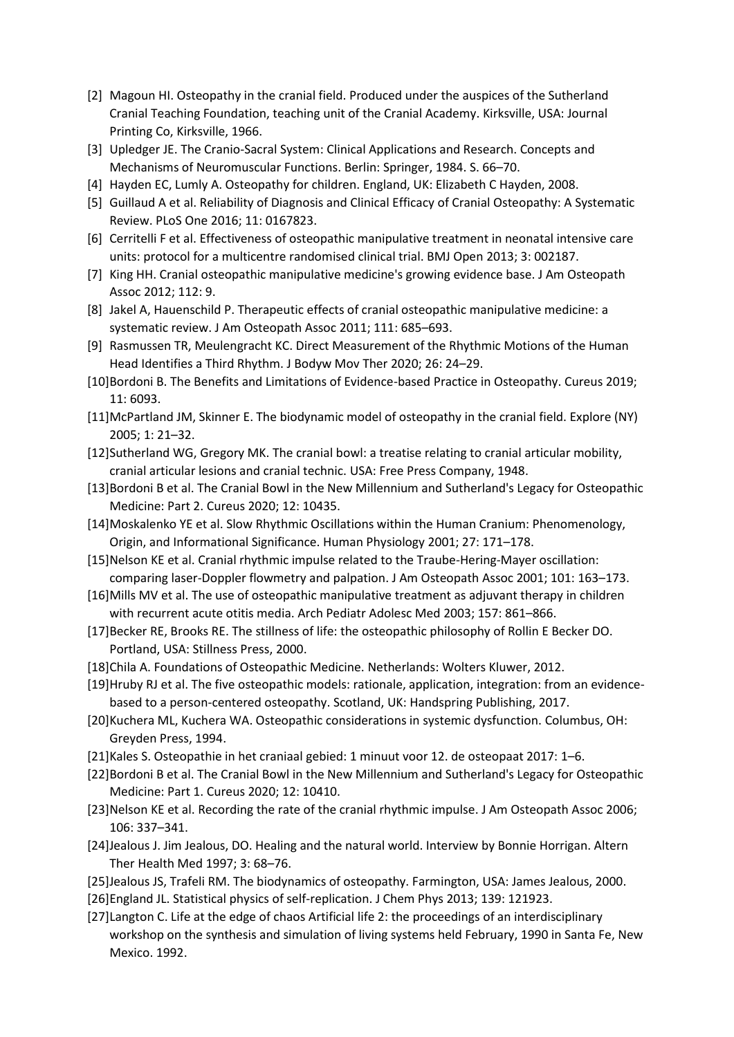- [2] Magoun HI. Osteopathy in the cranial field. Produced under the auspices of the Sutherland Cranial Teaching Foundation, teaching unit of the Cranial Academy. Kirksville, USA: Journal Printing Co, Kirksville, 1966.
- [3] Upledger JE. The Cranio-Sacral System: Clinical Applications and Research. Concepts and Mechanisms of Neuromuscular Functions. Berlin: Springer, 1984. S. 66–70.
- [4] Hayden EC, Lumly A. Osteopathy for children. England, UK: Elizabeth C Hayden, 2008.
- [5] Guillaud A et al. Reliability of Diagnosis and Clinical Efficacy of Cranial Osteopathy: A Systematic Review. PLoS One 2016; 11: 0167823.
- [6] Cerritelli F et al. Effectiveness of osteopathic manipulative treatment in neonatal intensive care units: protocol for a multicentre randomised clinical trial. BMJ Open 2013; 3: 002187.
- [7] King HH. Cranial osteopathic manipulative medicine's growing evidence base. J Am Osteopath Assoc 2012; 112: 9.
- [8] Jakel A, Hauenschild P. Therapeutic effects of cranial osteopathic manipulative medicine: a systematic review. J Am Osteopath Assoc 2011; 111: 685–693.
- [9] Rasmussen TR, Meulengracht KC. Direct Measurement of the Rhythmic Motions of the Human Head Identifies a Third Rhythm. J Bodyw Mov Ther 2020; 26: 24–29.
- [10]Bordoni B. The Benefits and Limitations of Evidence-based Practice in Osteopathy. Cureus 2019; 11: 6093.
- [11]McPartland JM, Skinner E. The biodynamic model of osteopathy in the cranial field. Explore (NY) 2005; 1: 21–32.
- [12]Sutherland WG, Gregory MK. The cranial bowl: a treatise relating to cranial articular mobility, cranial articular lesions and cranial technic. USA: Free Press Company, 1948.
- [13]Bordoni B et al. The Cranial Bowl in the New Millennium and Sutherland's Legacy for Osteopathic Medicine: Part 2. Cureus 2020; 12: 10435.
- [14]Moskalenko YE et al. Slow Rhythmic Oscillations within the Human Cranium: Phenomenology, Origin, and Informational Significance. Human Physiology 2001; 27: 171–178.
- [15]Nelson KE et al. Cranial rhythmic impulse related to the Traube-Hering-Mayer oscillation: comparing laser-Doppler flowmetry and palpation. J Am Osteopath Assoc 2001; 101: 163–173.
- [16]Mills MV et al. The use of osteopathic manipulative treatment as adjuvant therapy in children with recurrent acute otitis media. Arch Pediatr Adolesc Med 2003; 157: 861–866.
- [17]Becker RE, Brooks RE. The stillness of life: the osteopathic philosophy of Rollin E Becker DO. Portland, USA: Stillness Press, 2000.
- [18]Chila A. Foundations of Osteopathic Medicine. Netherlands: Wolters Kluwer, 2012.
- [19]Hruby RJ et al. The five osteopathic models: rationale, application, integration: from an evidencebased to a person-centered osteopathy. Scotland, UK: Handspring Publishing, 2017.
- [20]Kuchera ML, Kuchera WA. Osteopathic considerations in systemic dysfunction. Columbus, OH: Greyden Press, 1994.
- [21]Kales S. Osteopathie in het craniaal gebied: 1 minuut voor 12. de osteopaat 2017: 1–6.
- [22]Bordoni B et al. The Cranial Bowl in the New Millennium and Sutherland's Legacy for Osteopathic Medicine: Part 1. Cureus 2020; 12: 10410.
- [23]Nelson KE et al. Recording the rate of the cranial rhythmic impulse. J Am Osteopath Assoc 2006; 106: 337–341.
- [24]Jealous J. Jim Jealous, DO. Healing and the natural world. Interview by Bonnie Horrigan. Altern Ther Health Med 1997; 3: 68–76.
- [25]Jealous JS, Trafeli RM. The biodynamics of osteopathy. Farmington, USA: James Jealous, 2000.
- [26]England JL. Statistical physics of self-replication. J Chem Phys 2013; 139: 121923.
- [27]Langton C. Life at the edge of chaos Artificial life 2: the proceedings of an interdisciplinary workshop on the synthesis and simulation of living systems held February, 1990 in Santa Fe, New Mexico. 1992.